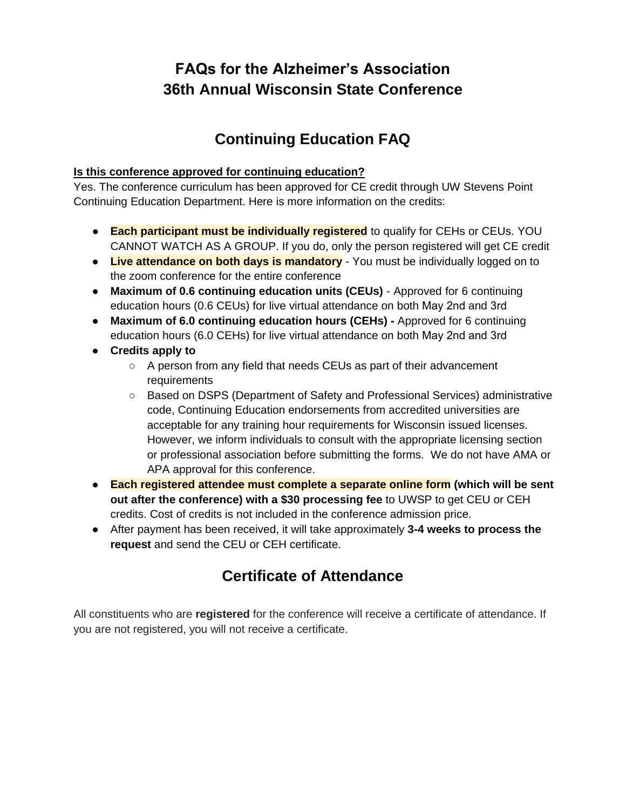## **FAQs for the Alzheimer's Association 36th Annual Wisconsin State Conference**

## **Continuing Education FAQ**

### **Is this conference approved for continuing education?**

Yes. The conference curriculum has been approved for CE credit through UW Stevens Point Continuing Education Department. Here is more information on the credits:

- **Each participant must be individually registered** to qualify for CEHs or CEUs. YOU CANNOT WATCH AS A GROUP. If you do, only the person registered will get CE credit
- **Live attendance on both days is mandatory**  You must be individually logged on to the zoom conference for the entire conference
- **Maximum of 0.6 continuing education units (CEUs)** Approved for 6 continuing education hours (0.6 CEUs) for live virtual attendance on both May 2nd and 3rd
- **Maximum of 6.0 continuing education hours (CEHs)** Approved for 6 continuing education hours (6.0 CEHs) for live virtual attendance on both May 2nd and 3rd
- **Credits apply to**
	- A person from any field that needs CEUs as part of their advancement requirements
	- Based on DSPS (Department of Safety and Professional Services) administrative code, Continuing Education endorsements from accredited universities are acceptable for any training hour requirements for Wisconsin issued licenses. However, we inform individuals to consult with the appropriate licensing section or professional association before submitting the forms. We do not have AMA or APA approval for this conference.
- **Each registered attendee must complete a separate online form (which will be sent out after the conference) with a \$30 processing fee** to UWSP to get CEU or CEH credits. Cost of credits is not included in the conference admission price.
- After payment has been received, it will take approximately **3-4 weeks to process the request** and send the CEU or CEH certificate.

# **Certificate of Attendance**

All constituents who are **registered** for the conference will receive a certificate of attendance. If you are not registered, you will not receive a certificate.